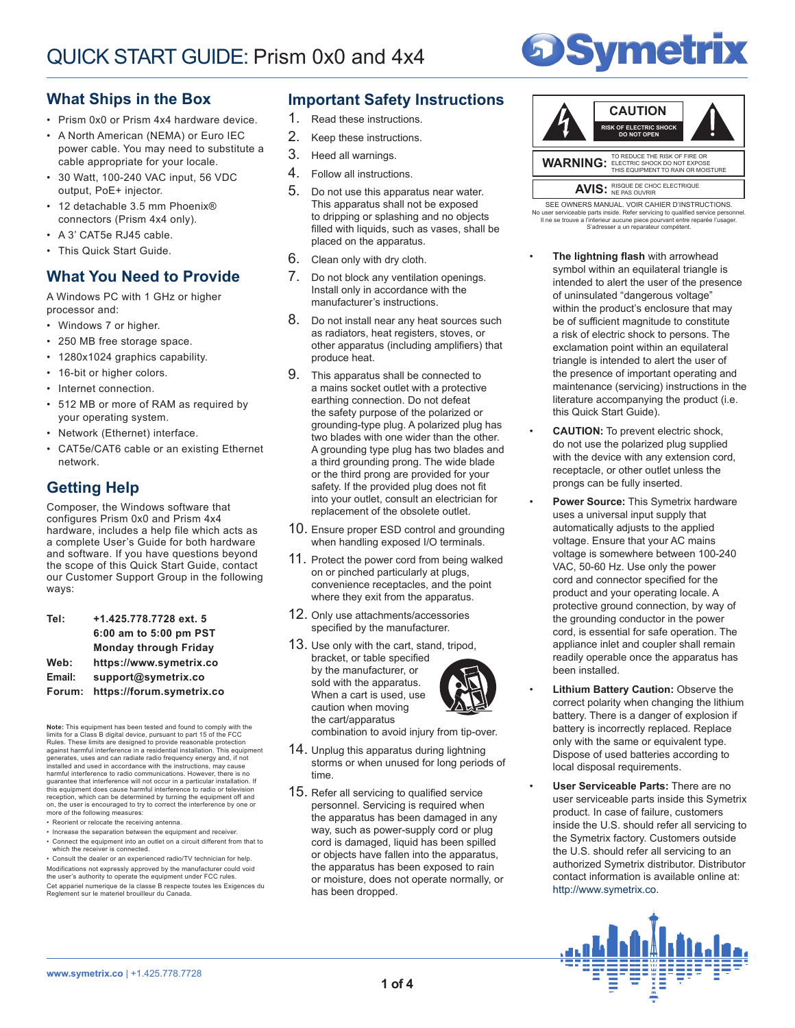

## **What Ships in the Box**

- Prism 0x0 or Prism 4x4 hardware device.
- A North American (NEMA) or Euro IEC power cable. You may need to substitute a cable appropriate for your locale.
- 30 Watt, 100-240 VAC input, 56 VDC output, PoE+ injector.
- 12 detachable 3.5 mm Phoenix® connectors (Prism 4x4 only).
- A 3' CAT5e RJ45 cable.
- This Quick Start Guide.

## **What You Need to Provide**

A Windows PC with 1 GHz or higher processor and:

- Windows 7 or higher.
- 250 MB free storage space.
- 1280x1024 graphics capability.
- 16-bit or higher colors.
- Internet connection.
- 512 MB or more of RAM as required by your operating system.
- Network (Ethernet) interface.
- CAT5e/CAT6 cable or an existing Ethernet network.

# **Getting Help**

Composer, the Windows software that configures Prism 0x0 and Prism 4x4 hardware, includes a help file which acts as a complete User's Guide for both hardware and software. If you have questions beyond the scope of this Quick Start Guide, contact our Customer Support Group in the following ways:

| Tel:   | +1.425.778.7728 ext. 5       |
|--------|------------------------------|
|        | 6:00 am to 5:00 pm PST       |
|        | <b>Monday through Friday</b> |
| Web:   | https://www.symetrix.co      |
| Email: | support@symetrix.co          |
| Forum: | https://forum.symetrix.co    |

**Note:** This equipment has been tested and found to comply limits for a Class B digital device, pursuant to part 15 of the FCC Rules. These limits are designed to provide reasonable protection<br>against harmful interference in a residential installation. This equipment<br>generates, uses and can radiate radio frequency energy and, if not installed and used in accordance with the instructions, may cause harmful interference to radio communications. However, there is no<br>guarantee that interference will not occur in a particular installation. If<br>this equipment does cause harmful interference to radio or television reception, which can be determined by turning the equipment off and on, the user is encouraged to try to correct the interference by one or more of the following measures:

- Reorient or relocate the receiving antenna.
- Increase the separation between the equipment and receiver.
- Connect the equipment into an outlet on a circuit different from that to which the receiver is connected.

• Consult the dealer or an experienced radio/TV technician for help. Modifications not expressly approved by the manufacturer could void the user's authority to operate the equipment under FCC rules. Cet appariel numerique de la classe B respecte toutes les Exigences du Reglement sur le materiel brouilleur du Canada.

## **Important Safety Instructions**

- 1. Read these instructions.
- 2. Keep these instructions.
- 3. Heed all warnings.
- 4. Follow all instructions.
- 5. Do not use this apparatus near water. This apparatus shall not be exposed to dripping or splashing and no objects filled with liquids, such as vases, shall be placed on the apparatus.
- 6. Clean only with dry cloth.
- 7. Do not block any ventilation openings. Install only in accordance with the manufacturer's instructions.
- 8. Do not install near any heat sources such as radiators, heat registers, stoves, or other apparatus (including amplifiers) that produce heat.
- 9. This apparatus shall be connected to a mains socket outlet with a protective earthing connection. Do not defeat the safety purpose of the polarized or grounding-type plug. A polarized plug has two blades with one wider than the other. A grounding type plug has two blades and a third grounding prong. The wide blade or the third prong are provided for your safety. If the provided plug does not fit into your outlet, consult an electrician for replacement of the obsolete outlet.
- 10. Ensure proper ESD control and grounding when handling exposed I/O terminals.
- 11. Protect the power cord from being walked on or pinched particularly at plugs, convenience receptacles, and the point where they exit from the apparatus.
- 12. Only use attachments/accessories specified by the manufacturer.
- 13. Use only with the cart, stand, tripod, bracket, or table specified by the manufacturer, or sold with the apparatus. When a cart is used, use caution when moving the cart/apparatus



combination to avoid injury from tip-over.

- 14. Unplug this apparatus during lightning storms or when unused for long periods of time.
- 15. Refer all servicing to qualified service personnel. Servicing is required when the apparatus has been damaged in any way, such as power-supply cord or plug cord is damaged, liquid has been spilled or objects have fallen into the apparatus, the apparatus has been exposed to rain or moisture, does not operate normally, or has been dropped.



No user serviceable parts inside. Refer servicing to qualified service personnel.<br>Il ne se trouve a l'interieur aucune piece pourvant entre reparée l'usager. SEE OWNERS MANUAL. VOIR CAHIER D'INSTRUCTIONS. S'adresser a un reparateur compétent.

- **The lightning flash** with arrowhead symbol within an equilateral triangle is intended to alert the user of the presence of uninsulated "dangerous voltage" within the product's enclosure that may be of sufficient magnitude to constitute a risk of electric shock to persons. The exclamation point within an equilateral triangle is intended to alert the user of the presence of important operating and maintenance (servicing) instructions in the literature accompanying the product (i.e. this Quick Start Guide).
- **CAUTION:** To prevent electric shock, do not use the polarized plug supplied with the device with any extension cord, receptacle, or other outlet unless the prongs can be fully inserted.
- **Power Source:** This Symetrix hardware uses a universal input supply that automatically adjusts to the applied voltage. Ensure that your AC mains voltage is somewhere between 100-240 VAC, 50-60 Hz. Use only the power cord and connector specified for the product and your operating locale. A protective ground connection, by way of the grounding conductor in the power cord, is essential for safe operation. The appliance inlet and coupler shall remain readily operable once the apparatus has been installed.
- **Lithium Battery Caution: Observe the** correct polarity when changing the lithium battery. There is a danger of explosion if battery is incorrectly replaced. Replace only with the same or equivalent type. Dispose of used batteries according to local disposal requirements.
- **User Serviceable Parts:** There are no user serviceable parts inside this Symetrix product. In case of failure, customers inside the U.S. should refer all servicing to the Symetrix factory. Customers outside the U.S. should refer all servicing to an authorized Symetrix distributor. Distributor contact information is available online at: http://www.symetrix.co.

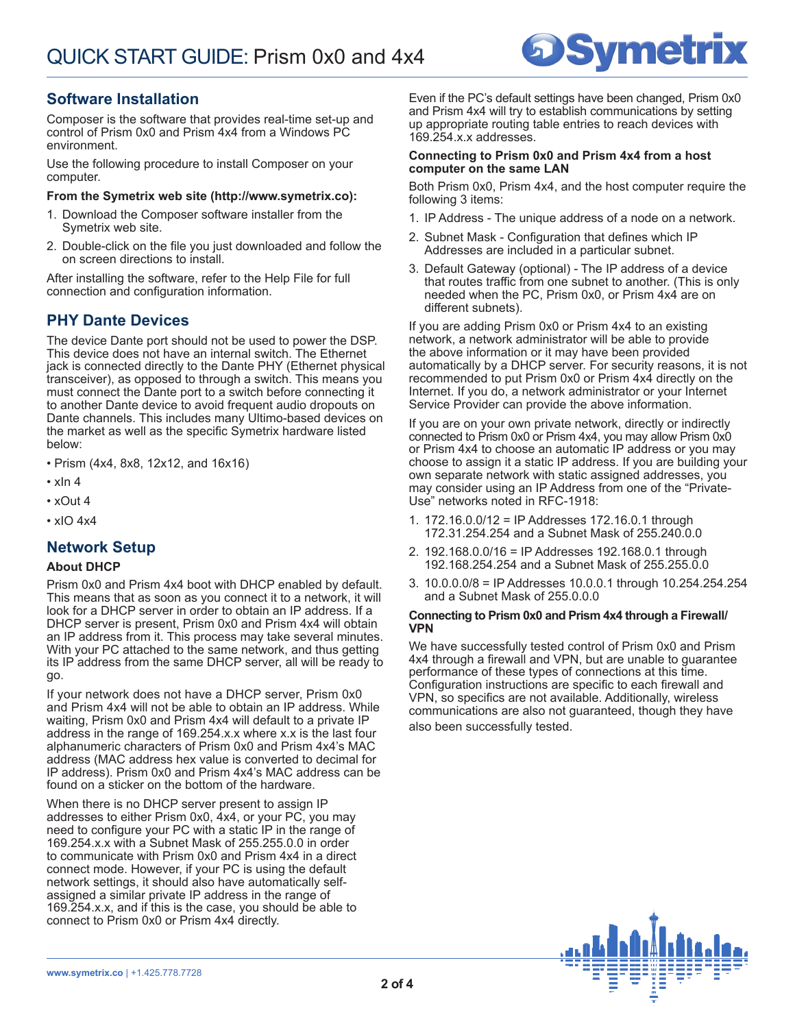# **Symetrix**

# **Software Installation**

Composer is the software that provides real-time set-up and control of Prism 0x0 and Prism 4x4 from a Windows PC environment.

Use the following procedure to install Composer on your computer.

#### **From the Symetrix web site (http://www.symetrix.co):**

- 1. Download the Composer software installer from the Symetrix web site.
- 2. Double-click on the file you just downloaded and follow the on screen directions to install.

After installing the software, refer to the Help File for full connection and configuration information.

# **PHY Dante Devices**

The device Dante port should not be used to power the DSP. This device does not have an internal switch. The Ethernet jack is connected directly to the Dante PHY (Ethernet physical transceiver), as opposed to through a switch. This means you must connect the Dante port to a switch before connecting it to another Dante device to avoid frequent audio dropouts on Dante channels. This includes many Ultimo-based devices on the market as well as the specific Symetrix hardware listed below:

• Prism (4x4, 8x8, 12x12, and 16x16)

- xIn 4
- xOut 4
- xIO 4x4

## **Network Setup**

#### **About DHCP**

Prism 0x0 and Prism 4x4 boot with DHCP enabled by default. This means that as soon as you connect it to a network, it will look for a DHCP server in order to obtain an IP address. If a DHCP server is present, Prism 0x0 and Prism 4x4 will obtain an IP address from it. This process may take several minutes. With your PC attached to the same network, and thus getting its IP address from the same DHCP server, all will be ready to go.

If your network does not have a DHCP server, Prism 0x0 and Prism 4x4 will not be able to obtain an IP address. While waiting, Prism 0x0 and Prism 4x4 will default to a private IP address in the range of 169.254.x.x where x.x is the last four alphanumeric characters of Prism 0x0 and Prism 4x4's MAC address (MAC address hex value is converted to decimal for IP address). Prism 0x0 and Prism 4x4's MAC address can be found on a sticker on the bottom of the hardware.

When there is no DHCP server present to assign IP addresses to either Prism 0x0, 4x4, or your PC, you may need to configure your PC with a static IP in the range of 169.254.x.x with a Subnet Mask of 255.255.0.0 in order to communicate with Prism 0x0 and Prism 4x4 in a direct connect mode. However, if your PC is using the default network settings, it should also have automatically selfassigned a similar private IP address in the range of 169.254.x.x, and if this is the case, you should be able to connect to Prism 0x0 or Prism 4x4 directly.

Even if the PC's default settings have been changed, Prism 0x0 and Prism 4x4 will try to establish communications by setting up appropriate routing table entries to reach devices with 169.254.x.x addresses.

#### **Connecting to Prism 0x0 and Prism 4x4 from a host computer on the same LAN**

Both Prism 0x0, Prism 4x4, and the host computer require the following 3 items:

- 1. IP Address The unique address of a node on a network.
- 2. Subnet Mask Configuration that defines which IP Addresses are included in a particular subnet.
- 3. Default Gateway (optional) The IP address of a device that routes traffic from one subnet to another. (This is only needed when the PC, Prism 0x0, or Prism 4x4 are on different subnets).

If you are adding Prism 0x0 or Prism 4x4 to an existing network, a network administrator will be able to provide the above information or it may have been provided automatically by a DHCP server. For security reasons, it is not recommended to put Prism 0x0 or Prism 4x4 directly on the Internet. If you do, a network administrator or your Internet Service Provider can provide the above information.

If you are on your own private network, directly or indirectly connected to Prism 0x0 or Prism 4x4, you may allow Prism 0x0 or Prism 4x4 to choose an automatic IP address or you may choose to assign it a static IP address. If you are building your own separate network with static assigned addresses, you may consider using an IP Address from one of the "Private-Use" networks noted in RFC-1918:

- 1. 172.16.0.0/12 = IP Addresses 172.16.0.1 through 172.31.254.254 and a Subnet Mask of 255.240.0.0
- 2. 192.168.0.0/16 = IP Addresses 192.168.0.1 through 192.168.254.254 and a Subnet Mask of 255.255.0.0
- 3. 10.0.0.0/8 = IP Addresses 10.0.0.1 through 10.254.254.254 and a Subnet Mask of 255.0.0.0

#### **Connecting to Prism 0x0 and Prism 4x4 through a Firewall/ VPN**

We have successfully tested control of Prism 0x0 and Prism 4x4 through a firewall and VPN, but are unable to guarantee performance of these types of connections at this time. Configuration instructions are specific to each firewall and VPN, so specifics are not available. Additionally, wireless communications are also not guaranteed, though they have also been successfully tested.

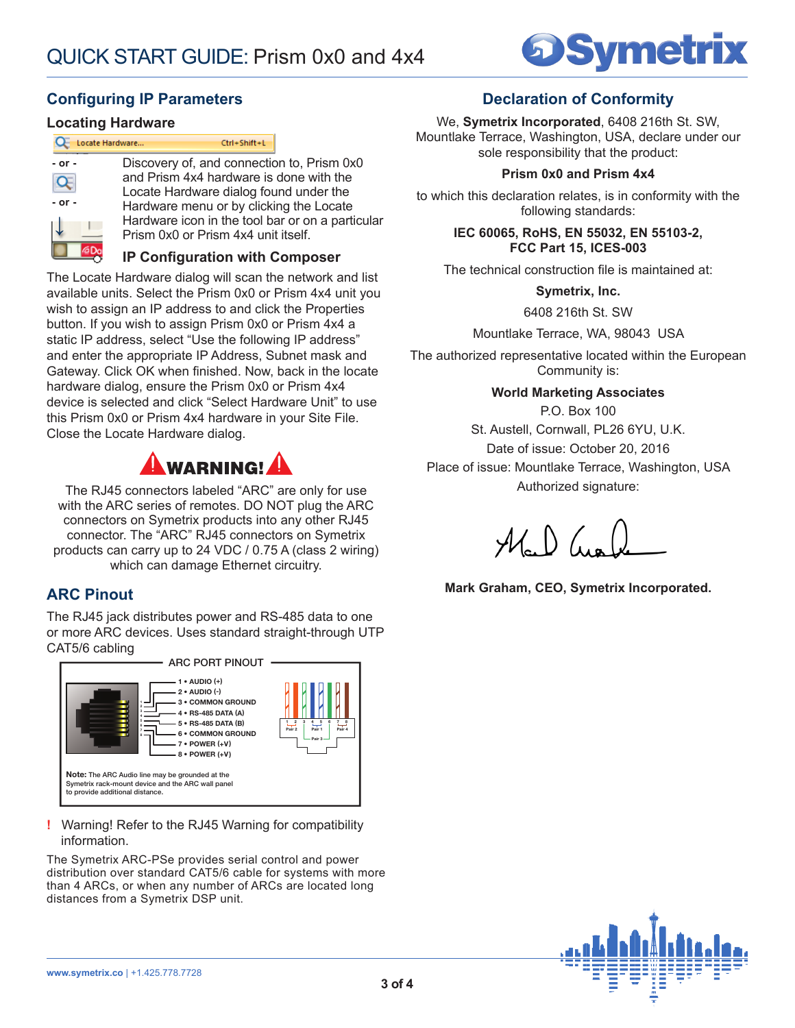

# **Configuring IP Parameters**

## **Locating Hardware**

<u>est</u>

|            | Locate Hardware<br>Ctrl+Shift+L                  |
|------------|--------------------------------------------------|
| $-$ or $-$ | Discovery of, and connection to, Prism 0x0       |
|            | and Prism 4x4 hardware is done with the          |
|            | Locate Hardware dialog found under the           |
| $-$ or $-$ | Hardware menu or by clicking the Locate          |
|            | Hardware icon in the tool bar or on a particular |
|            | Prism 0x0 or Prism 4x4 unit itself.              |
|            |                                                  |

**IP Configuration with Composer**

The Locate Hardware dialog will scan the network and list available units. Select the Prism 0x0 or Prism 4x4 unit you wish to assign an IP address to and click the Properties button. If you wish to assign Prism 0x0 or Prism 4x4 a static IP address, select "Use the following IP address" and enter the appropriate IP Address, Subnet mask and Gateway. Click OK when finished. Now, back in the locate hardware dialog, ensure the Prism 0x0 or Prism 4x4 device is selected and click "Select Hardware Unit" to use this Prism 0x0 or Prism 4x4 hardware in your Site File. Close the Locate Hardware dialog.



The RJ45 connectors labeled "ARC" are only for use with the ARC series of remotes. DO NOT plug the ARC connectors on Symetrix products into any other RJ45 connector. The "ARC" RJ45 connectors on Symetrix products can carry up to 24 VDC / 0.75 A (class 2 wiring) which can damage Ethernet circuitry.

# **ARC Pinout**

The RJ45 jack distributes power and RS-485 data to one or more ARC devices. Uses standard straight-through UTP CAT5/6 cabling



**!** Warning! Refer to the RJ45 Warning for compatibility information.

The Symetrix ARC-PSe provides serial control and power distribution over standard CAT5/6 cable for systems with more than 4 ARCs, or when any number of ARCs are located long distances from a Symetrix DSP unit.

# **Declaration of Conformity**

We, **Symetrix Incorporated**, 6408 216th St. SW, Mountlake Terrace, Washington, USA, declare under our sole responsibility that the product:

### **Prism 0x0 and Prism 4x4**

to which this declaration relates, is in conformity with the following standards:

> **IEC 60065, RoHS, EN 55032, EN 55103-2, FCC Part 15, ICES-003**

The technical construction file is maintained at:

**Symetrix, Inc.**

6408 216th St. SW

Mountlake Terrace, WA, 98043 USA

The authorized representative located within the European Community is:

**World Marketing Associates**

P.O. Box 100 St. Austell, Cornwall, PL26 6YU, U.K. Date of issue: October 20, 2016 Place of issue: Mountlake Terrace, Washington, USA Authorized signature:

 $\mathcal{H}$   $\mathcal{N}$ 

**Mark Graham, CEO, Symetrix Incorporated.**